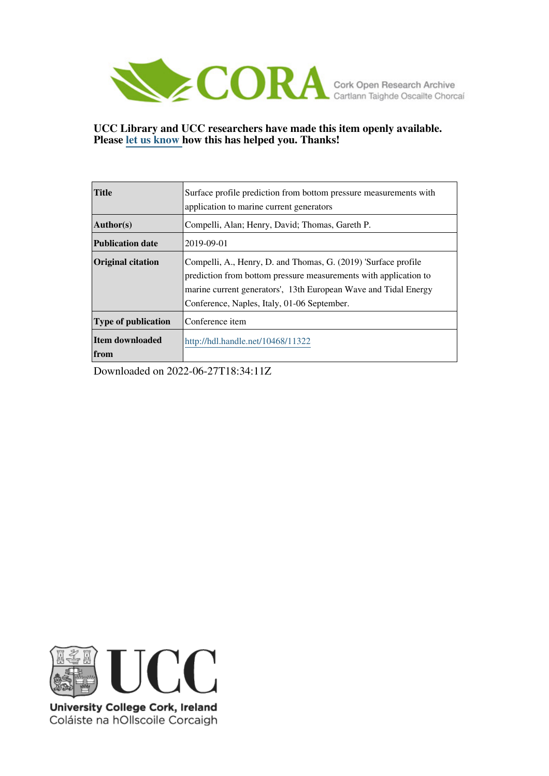

# **UCC Library and UCC researchers have made this item openly available. Please [let us know h](https://libguides.ucc.ie/openaccess/impact?suffix=11322&title=Surface profile prediction from bottom pressure measurements with application to marine current generators)ow this has helped you. Thanks!**

| <b>Title</b>                   | Surface profile prediction from bottom pressure measurements with<br>application to marine current generators                                                                                                                                        |  |
|--------------------------------|------------------------------------------------------------------------------------------------------------------------------------------------------------------------------------------------------------------------------------------------------|--|
| Author(s)                      | Compelli, Alan; Henry, David; Thomas, Gareth P.                                                                                                                                                                                                      |  |
| <b>Publication date</b>        | 2019-09-01                                                                                                                                                                                                                                           |  |
| <b>Original citation</b>       | Compelli, A., Henry, D. and Thomas, G. (2019) 'Surface profile<br>prediction from bottom pressure measurements with application to<br>marine current generators', 13th European Wave and Tidal Energy<br>Conference, Naples, Italy, 01-06 September. |  |
| <b>Type of publication</b>     | Conference item                                                                                                                                                                                                                                      |  |
| Item downloaded<br><b>from</b> | http://hdl.handle.net/10468/11322                                                                                                                                                                                                                    |  |

Downloaded on 2022-06-27T18:34:11Z



University College Cork, Ireland Coláiste na hOllscoile Corcaigh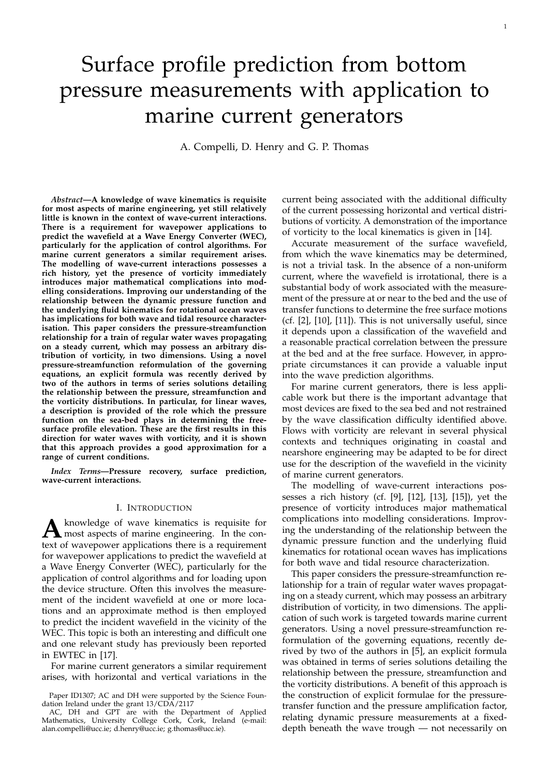# Surface profile prediction from bottom pressure measurements with application to marine current generators

A. Compelli, D. Henry and G. P. Thomas

*Abstract***—A knowledge of wave kinematics is requisite for most aspects of marine engineering, yet still relatively little is known in the context of wave-current interactions. There is a requirement for wavepower applications to predict the wavefield at a Wave Energy Converter (WEC), particularly for the application of control algorithms. For marine current generators a similar requirement arises. The modelling of wave-current interactions possesses a rich history, yet the presence of vorticity immediately introduces major mathematical complications into modelling considerations. Improving our understanding of the relationship between the dynamic pressure function and the underlying fluid kinematics for rotational ocean waves has implications for both wave and tidal resource characterisation. This paper considers the pressure-streamfunction relationship for a train of regular water waves propagating on a steady current, which may possess an arbitrary distribution of vorticity, in two dimensions. Using a novel pressure-streamfunction reformulation of the governing equations, an explicit formula was recently derived by two of the authors in terms of series solutions detailing the relationship between the pressure, streamfunction and the vorticity distributions. In particular, for linear waves, a description is provided of the role which the pressure function on the sea-bed plays in determining the freesurface profile elevation. These are the first results in this direction for water waves with vorticity, and it is shown that this approach provides a good approximation for a range of current conditions.**

*Index Terms***—Pressure recovery, surface prediction, wave-current interactions.**

#### I. INTRODUCTION

A knowledge of wave kinematics is requisite for most aspects of marine engineering. In the con-<br>text of wavenous applications there is a requirement knowledge of wave kinematics is requisite for text of wavepower applications there is a requirement for wavepower applications to predict the wavefield at a Wave Energy Converter (WEC), particularly for the application of control algorithms and for loading upon the device structure. Often this involves the measurement of the incident wavefield at one or more locations and an approximate method is then employed to predict the incident wavefield in the vicinity of the WEC. This topic is both an interesting and difficult one and one relevant study has previously been reported in EWTEC in [17].

For marine current generators a similar requirement arises, with horizontal and vertical variations in the current being associated with the additional difficulty of the current possessing horizontal and vertical distributions of vorticity. A demonstration of the importance of vorticity to the local kinematics is given in [14].

Accurate measurement of the surface wavefield, from which the wave kinematics may be determined, is not a trivial task. In the absence of a non-uniform current, where the wavefield is irrotational, there is a substantial body of work associated with the measurement of the pressure at or near to the bed and the use of transfer functions to determine the free surface motions (cf. [2], [10], [11]). This is not universally useful, since it depends upon a classification of the wavefield and a reasonable practical correlation between the pressure at the bed and at the free surface. However, in appropriate circumstances it can provide a valuable input into the wave prediction algorithms.

For marine current generators, there is less applicable work but there is the important advantage that most devices are fixed to the sea bed and not restrained by the wave classification difficulty identified above. Flows with vorticity are relevant in several physical contexts and techniques originating in coastal and nearshore engineering may be adapted to be for direct use for the description of the wavefield in the vicinity of marine current generators.

The modelling of wave-current interactions possesses a rich history (cf. [9], [12], [13], [15]), yet the presence of vorticity introduces major mathematical complications into modelling considerations. Improving the understanding of the relationship between the dynamic pressure function and the underlying fluid kinematics for rotational ocean waves has implications for both wave and tidal resource characterization.

This paper considers the pressure-streamfunction relationship for a train of regular water waves propagating on a steady current, which may possess an arbitrary distribution of vorticity, in two dimensions. The application of such work is targeted towards marine current generators. Using a novel pressure-streamfunction reformulation of the governing equations, recently derived by two of the authors in [5], an explicit formula was obtained in terms of series solutions detailing the relationship between the pressure, streamfunction and the vorticity distributions. A benefit of this approach is the construction of explicit formulae for the pressuretransfer function and the pressure amplification factor, relating dynamic pressure measurements at a fixeddepth beneath the wave trough — not necessarily on

Paper ID1307; AC and DH were supported by the Science Foundation Ireland under the grant 13/CDA/2117

AC, DH and GPT are with the Department of Applied Mathematics, University College Cork, Cork, Ireland (e-mail: alan.compelli@ucc.ie; d.henry@ucc.ie; g.thomas@ucc.ie).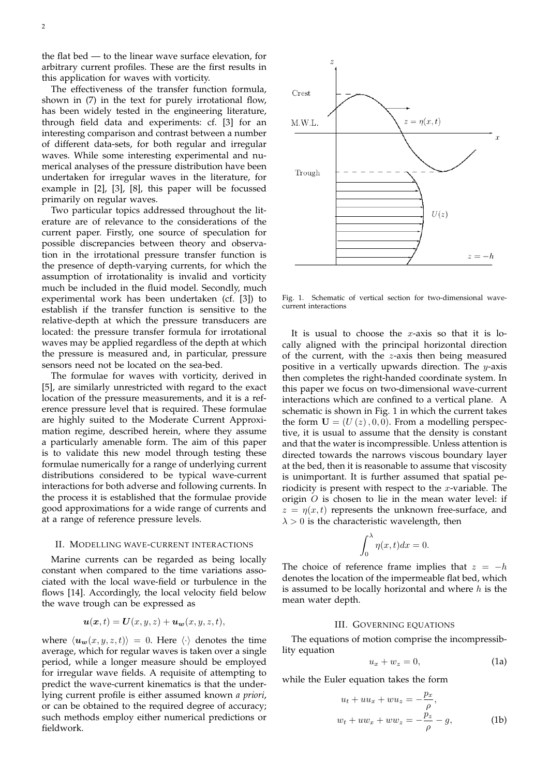the flat bed — to the linear wave surface elevation, for arbitrary current profiles. These are the first results in this application for waves with vorticity.

The effectiveness of the transfer function formula, shown in (7) in the text for purely irrotational flow, has been widely tested in the engineering literature, through field data and experiments: cf. [3] for an interesting comparison and contrast between a number of different data-sets, for both regular and irregular waves. While some interesting experimental and numerical analyses of the pressure distribution have been undertaken for irregular waves in the literature, for example in [2], [3], [8], this paper will be focussed primarily on regular waves.

Two particular topics addressed throughout the literature are of relevance to the considerations of the current paper. Firstly, one source of speculation for possible discrepancies between theory and observation in the irrotational pressure transfer function is the presence of depth-varying currents, for which the assumption of irrotationality is invalid and vorticity much be included in the fluid model. Secondly, much experimental work has been undertaken (cf. [3]) to establish if the transfer function is sensitive to the relative-depth at which the pressure transducers are located: the pressure transfer formula for irrotational waves may be applied regardless of the depth at which the pressure is measured and, in particular, pressure sensors need not be located on the sea-bed.

The formulae for waves with vorticity, derived in [5], are similarly unrestricted with regard to the exact location of the pressure measurements, and it is a reference pressure level that is required. These formulae are highly suited to the Moderate Current Approximation regime, described herein, where they assume a particularly amenable form. The aim of this paper is to validate this new model through testing these formulae numerically for a range of underlying current distributions considered to be typical wave-current interactions for both adverse and following currents. In the process it is established that the formulae provide good approximations for a wide range of currents and at a range of reference pressure levels.

#### II. MODELLING WAVE-CURRENT INTERACTIONS

Marine currents can be regarded as being locally constant when compared to the time variations associated with the local wave-field or turbulence in the flows [14]. Accordingly, the local velocity field below the wave trough can be expressed as

$$
\mathbf{u}(\mathbf{x},t) = \mathbf{U}(x,y,z) + \mathbf{u}_{\mathbf{w}}(x,y,z,t),
$$

where  $\langle u_w(x, y, z, t) \rangle = 0$ . Here  $\langle \cdot \rangle$  denotes the time average, which for regular waves is taken over a single period, while a longer measure should be employed for irregular wave fields. A requisite of attempting to predict the wave-current kinematics is that the underlying current profile is either assumed known *a priori*, or can be obtained to the required degree of accuracy; such methods employ either numerical predictions or fieldwork.



Fig. 1. Schematic of vertical section for two-dimensional wavecurrent interactions

It is usual to choose the x-axis so that it is locally aligned with the principal horizontal direction of the current, with the z-axis then being measured positive in a vertically upwards direction. The y-axis then completes the right-handed coordinate system. In this paper we focus on two-dimensional wave-current interactions which are confined to a vertical plane. A schematic is shown in Fig. 1 in which the current takes the form  $U = (U(z), 0, 0)$ . From a modelling perspective, it is usual to assume that the density is constant and that the water is incompressible. Unless attention is directed towards the narrows viscous boundary layer at the bed, then it is reasonable to assume that viscosity is unimportant. It is further assumed that spatial periodicity is present with respect to the  $x$ -variable. The origin  $O$  is chosen to lie in the mean water level: if  $z = \eta(x, t)$  represents the unknown free-surface, and  $\lambda > 0$  is the characteristic wavelength, then

$$
\int_0^\lambda \eta(x,t)dx = 0.
$$

The choice of reference frame implies that  $z = -h$ denotes the location of the impermeable flat bed, which is assumed to be locally horizontal and where  $h$  is the mean water depth.

#### III. GOVERNING EQUATIONS

The equations of motion comprise the incompressiblity equation

$$
u_x + w_z = 0,\t\t(1a)
$$

while the Euler equation takes the form

$$
u_t + uu_x + wu_z = -\frac{p_x}{\rho},
$$
  

$$
w_t + uw_x + ww_z = -\frac{p_z}{\rho} - g,
$$
 (1b)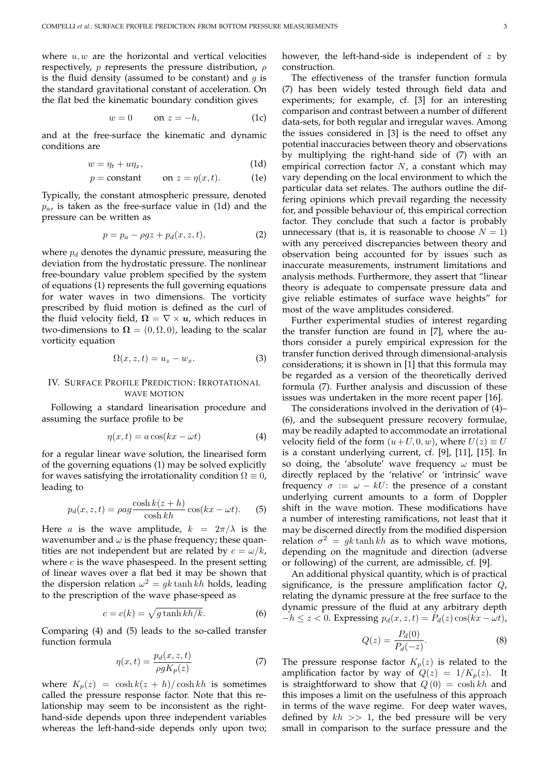where  $u, w$  are the horizontal and vertical velocities respectively, *p* represents the pressure distribution,  $\rho$ is the fluid density (assumed to be constant) and  $q$  is the standard gravitational constant of acceleration. On the flat bed the kinematic boundary condition gives

$$
w = 0 \qquad \text{on } z = -h, \tag{1c}
$$

and at the free-surface the kinematic and dynamic conditions are

$$
w = \eta_t + u\eta_x,\tag{1d}
$$

$$
p = \text{constant} \qquad \text{on } z = \eta(x, t). \tag{1e}
$$

Typically, the constant atmospheric pressure, denoted  $p_a$ , is taken as the free-surface value in (1d) and the pressure can be written as

$$
p = p_a - \rho gz + p_d(x, z, t),\tag{2}
$$

where  $p_d$  denotes the dynamic pressure, measuring the deviation from the hydrostatic pressure. The nonlinear free-boundary value problem specified by the system of equations (1) represents the full governing equations for water waves in two dimensions. The vorticity prescribed by fluid motion is defined as the curl of the fluid velocity field,  $\Omega = \nabla \times \boldsymbol{u}$ , which reduces in two-dimensions to  $\Omega = (0, \Omega, 0)$ , leading to the scalar vorticity equation

$$
\Omega(x, z, t) = u_z - w_x.
$$
 (3)

# IV. SURFACE PROFILE PREDICTION: IRROTATIONAL WAVE MOTION

Following a standard linearisation procedure and assuming the surface profile to be

$$
\eta(x,t) = a\cos(kx - \omega t) \tag{4}
$$

for a regular linear wave solution, the linearised form of the governing equations (1) may be solved explicitly for waves satisfying the irrotationality condition  $\Omega \equiv 0$ , leading to

$$
p_d(x, z, t) = \rho a g \frac{\cosh k(z + h)}{\cosh kh} \cos(kx - \omega t). \tag{5}
$$

Here *a* is the wave amplitude,  $k = 2\pi/\lambda$  is the wavenumber and  $\omega$  is the phase frequency; these quantities are not independent but are related by  $c = \omega/k$ , where  $c$  is the wave phasespeed. In the present setting of linear waves over a flat bed it may be shown that the dispersion relation  $\omega^2 = g k \tanh kh$  holds, leading to the prescription of the wave phase-speed as

$$
c = c(k) = \sqrt{g \tanh kh/k}.
$$
 (6)

Comparing (4) and (5) leads to the so-called transfer function formula

$$
\eta(x,t) = \frac{p_d(x,z,t)}{\rho g K_p(z)}\tag{7}
$$

where  $K_p(z) = \cosh k(z + h)/\cosh kh$  is sometimes called the pressure response factor. Note that this relationship may seem to be inconsistent as the righthand-side depends upon three independent variables whereas the left-hand-side depends only upon two;

however, the left-hand-side is independent of  $z$  by construction.

The effectiveness of the transfer function formula (7) has been widely tested through field data and experiments; for example, cf. [3] for an interesting comparison and contrast between a number of different data-sets, for both regular and irregular waves. Among the issues considered in [3] is the need to offset any potential inaccuracies between theory and observations by multiplying the right-hand side of (7) with an empirical correction factor  $N$ , a constant which may vary depending on the local environment to which the particular data set relates. The authors outline the differing opinions which prevail regarding the necessity for, and possible behaviour of, this empirical correction factor. They conclude that such a factor is probably unnecessary (that is, it is reasonable to choose  $N = 1$ ) with any perceived discrepancies between theory and observation being accounted for by issues such as inaccurate measurements, instrument limitations and analysis methods. Furthermore, they assert that "linear theory is adequate to compensate pressure data and give reliable estimates of surface wave heights" for most of the wave amplitudes considered.

Further experimental studies of interest regarding the transfer function are found in [7], where the authors consider a purely empirical expression for the transfer function derived through dimensional-analysis considerations; it is shown in [1] that this formula may be regarded as a version of the theoretically derived formula (7). Further analysis and discussion of these issues was undertaken in the more recent paper [16].

The considerations involved in the derivation of (4)– (6), and the subsequent pressure recovery formulae, may be readily adapted to accommodate an irrotational velocity field of the form  $(u+U, 0, w)$ , where  $U(z) \equiv U$ is a constant underlying current, cf. [9], [11], [15]. In so doing, the 'absolute' wave frequency  $\omega$  must be directly replaced by the 'relative' or 'intrinsic' wave frequency  $\sigma := \omega - kU$ : the presence of a constant underlying current amounts to a form of Doppler shift in the wave motion. These modifications have a number of interesting ramifications, not least that it may be discerned directly from the modified dispersion relation  $\sigma^2 = gk \tanh kh$  as to which wave motions, depending on the magnitude and direction (adverse or following) of the current, are admissible, cf. [9].

An additional physical quantity, which is of practical significance, is the pressure amplification factor  $Q$ , relating the dynamic pressure at the free surface to the dynamic pressure of the fluid at any arbitrary depth  $-h \le z < 0$ . Expressing  $p_d(x, z, t) = P_d(z) \cos(kx - \omega t)$ ,

$$
Q(z) = \frac{P_d(0)}{P_d(-z)}.\t\t(8)
$$

The pressure response factor  $K_p(z)$  is related to the amplification factor by way of  $Q(z) = 1/K_p(z)$ . It is straightforward to show that  $Q(0) = \cosh kh$  and this imposes a limit on the usefulness of this approach in terms of the wave regime. For deep water waves, defined by  $kh \gg 1$ , the bed pressure will be very small in comparison to the surface pressure and the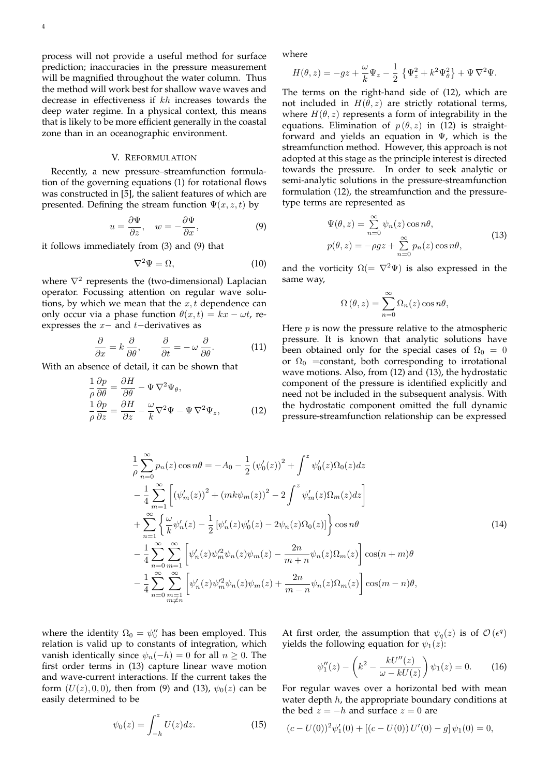process will not provide a useful method for surface prediction; inaccuracies in the pressure measurement will be magnified throughout the water column. Thus the method will work best for shallow wave waves and decrease in effectiveness if kh increases towards the deep water regime. In a physical context, this means that is likely to be more efficient generally in the coastal zone than in an oceanographic environment.

### V. REFORMULATION

Recently, a new pressure–streamfunction formulation of the governing equations (1) for rotational flows was constructed in [5], the salient features of which are presented. Defining the stream function  $\Psi(x, z, t)$  by

$$
u = \frac{\partial \Psi}{\partial z}, \quad w = -\frac{\partial \Psi}{\partial x}, \tag{9}
$$

it follows immediately from (3) and (9) that

$$
\nabla^2 \Psi = \Omega,\tag{10}
$$

where  $\nabla^2$  represents the (two-dimensional) Laplacian operator. Focussing attention on regular wave solutions, by which we mean that the  $x, t$  dependence can only occur via a phase function  $\theta(x,t) = kx - \omega t$ , reexpresses the  $x-$  and  $t-$ derivatives as

$$
\frac{\partial}{\partial x} = k \frac{\partial}{\partial \theta}, \qquad \frac{\partial}{\partial t} = -\omega \frac{\partial}{\partial \theta}.
$$
 (11)

With an absence of detail, it can be shown that

$$
\frac{1}{\rho} \frac{\partial p}{\partial \theta} = \frac{\partial H}{\partial \theta} - \Psi \nabla^2 \Psi_{\theta}, \n\frac{1}{\rho} \frac{\partial p}{\partial z} = \frac{\partial H}{\partial z} - \frac{\omega}{k} \nabla^2 \Psi - \Psi \nabla^2 \Psi_z,
$$
\n(12)

where

$$
H(\theta, z) = -gz + \frac{\omega}{k} \Psi_z - \frac{1}{2} \left\{ \Psi_z^2 + k^2 \Psi_\theta^2 \right\} + \Psi \nabla^2 \Psi.
$$

The terms on the right-hand side of (12), which are not included in  $H(\theta, z)$  are strictly rotational terms, where  $H(\theta, z)$  represents a form of integrability in the equations. Elimination of  $p(\theta, z)$  in (12) is straightforward and yields an equation in  $\Psi$ , which is the streamfunction method. However, this approach is not adopted at this stage as the principle interest is directed towards the pressure. In order to seek analytic or semi-analytic solutions in the pressure-streamfunction formulation (12), the streamfunction and the pressuretype terms are represented as

$$
\Psi(\theta, z) = \sum_{n=0}^{\infty} \psi_n(z) \cos n\theta,
$$
  
\n
$$
p(\theta, z) = -\rho gz + \sum_{n=0}^{\infty} p_n(z) \cos n\theta,
$$
\n(13)

and the vorticity  $\Omega = \nabla^2 \Psi$  is also expressed in the same way,

$$
\Omega(\theta, z) = \sum_{n=0}^{\infty} \Omega_n(z) \cos n\theta,
$$

Here  $p$  is now the pressure relative to the atmospheric pressure. It is known that analytic solutions have been obtained only for the special cases of  $\Omega_0 = 0$ or  $\Omega_0$  =constant, both corresponding to irrotational wave motions. Also, from (12) and (13), the hydrostatic component of the pressure is identified explicitly and need not be included in the subsequent analysis. With the hydrostatic component omitted the full dynamic pressure-streamfunction relationship can be expressed

$$
\frac{1}{\rho} \sum_{n=0}^{\infty} p_n(z) \cos n\theta = -A_0 - \frac{1}{2} (\psi_0'(z))^2 + \int^z \psi_0'(z) \Omega_0(z) dz \n- \frac{1}{4} \sum_{m=1}^{\infty} \left[ (\psi_m'(z))^2 + (mk\psi_m(z))^2 - 2 \int^z \psi_m'(z) \Omega_m(z) dz \right] \n+ \sum_{n=1}^{\infty} \left\{ \frac{\omega}{k} \psi_n'(z) - \frac{1}{2} [\psi_n'(z) \psi_0'(z) - 2\psi_n(z) \Omega_0(z)] \right\} \cos n\theta \n- \frac{1}{4} \sum_{n=0}^{\infty} \sum_{m=1}^{\infty} \left[ \psi_n'(z) \psi_m'(z) \psi_m(z) - \frac{2n}{m+n} \psi_n(z) \Omega_m(z) \right] \cos(n+m)\theta \n- \frac{1}{4} \sum_{n=0}^{\infty} \sum_{\substack{m=1 \ m \neq n}}^{\infty} \left[ \psi_n'(z) \psi_m'(z) \psi_m(z) + \frac{2n}{m-n} \psi_n(z) \Omega_m(z) \right] \cos(m-n)\theta,
$$
\n(14)

where the identity  $\Omega_0 = \psi_0''$  has been employed. This relation is valid up to constants of integration, which vanish identically since  $\psi_n(-h) = 0$  for all  $n \geq 0$ . The first order terms in (13) capture linear wave motion and wave-current interactions. If the current takes the form  $(U(z), 0, 0)$ , then from (9) and (13),  $\psi_0(z)$  can be easily determined to be

$$
\psi_0(z) = \int_{-h}^z U(z)dz.
$$
 (15)

At first order, the assumption that  $\psi_q(z)$  is of  $\mathcal{O}(\epsilon^q)$ yields the following equation for  $\psi_1(z)$ :

$$
\psi_1''(z) - \left(k^2 - \frac{kU''(z)}{\omega - kU(z)}\right)\psi_1(z) = 0.
$$
 (16)

For regular waves over a horizontal bed with mean water depth h, the appropriate boundary conditions at the bed  $z = -h$  and surface  $z = 0$  are

$$
(c - U(0))^2 \psi'_1(0) + [(c - U(0)) U'(0) - g] \psi_1(0) = 0,
$$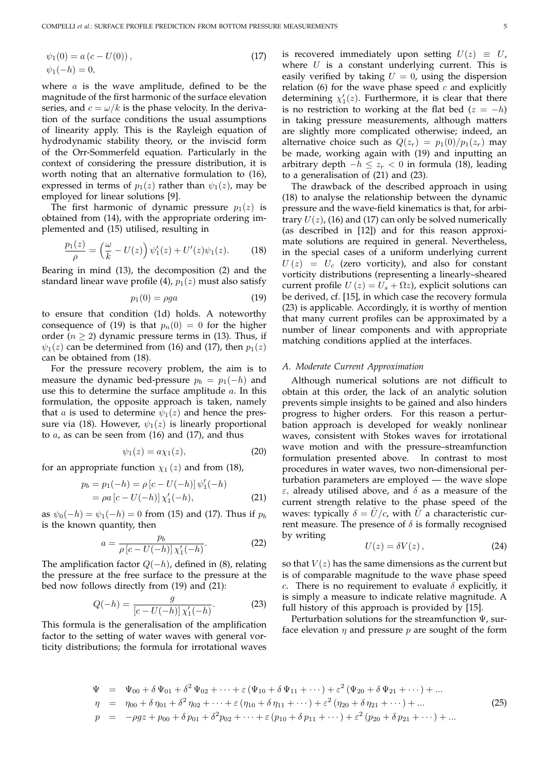$$
\psi_1(0) = a (c - U(0)), \n\psi_1(-h) = 0,
$$
\n(17)

where  $a$  is the wave amplitude, defined to be the magnitude of the first harmonic of the surface elevation series, and  $c = \omega/k$  is the phase velocity. In the derivation of the surface conditions the usual assumptions of linearity apply. This is the Rayleigh equation of hydrodynamic stability theory, or the inviscid form of the Orr-Sommerfeld equation. Particularly in the context of considering the pressure distribution, it is worth noting that an alternative formulation to (16), expressed in terms of  $p_1(z)$  rather than  $\psi_1(z)$ , may be employed for linear solutions [9].

The first harmonic of dynamic pressure  $p_1(z)$  is obtained from (14), with the appropriate ordering implemented and (15) utilised, resulting in

$$
\frac{p_1(z)}{\rho} = \left(\frac{\omega}{k} - U(z)\right)\psi_1'(z) + U'(z)\psi_1(z). \tag{18}
$$

Bearing in mind (13), the decomposition (2) and the standard linear wave profile (4),  $p_1(z)$  must also satisfy

$$
p_1(0) = \rho g a \tag{19}
$$

to ensure that condition (1d) holds. A noteworthy consequence of (19) is that  $p_n(0) = 0$  for the higher order ( $n \geq 2$ ) dynamic pressure terms in (13). Thus, if  $\psi_1(z)$  can be determined from (16) and (17), then  $p_1(z)$ can be obtained from (18).

For the pressure recovery problem, the aim is to measure the dynamic bed-pressure  $p_b = p_1(-h)$  and use this to determine the surface amplitude  $a$ . In this formulation, the opposite approach is taken, namely that *a* is used to determine  $\psi_1(z)$  and hence the pressure via (18). However,  $\psi_1(z)$  is linearly proportional to  $a$ , as can be seen from (16) and (17), and thus

$$
\psi_1(z) = a\chi_1(z),\tag{20}
$$

for an appropriate function  $\chi_1(z)$  and from (18),

$$
p_b = p_1(-h) = \rho [c - U(-h)] \psi'_1(-h)
$$
  
=  $\rho a [c - U(-h)] \chi'_1(-h),$  (21)

as  $\psi_0(-h) = \psi_1(-h) = 0$  from (15) and (17). Thus if  $p_b$ is the known quantity, then

$$
a = \frac{p_b}{\rho \left[c - U(-h)\right] \chi'_1(-h)}.
$$
 (22)

The amplification factor  $Q(-h)$ , defined in (8), relating the pressure at the free surface to the pressure at the bed now follows directly from (19) and (21):

$$
Q(-h) = \frac{g}{[c - U(-h)]\,\chi'_1(-h)}.\tag{23}
$$

This formula is the generalisation of the amplification factor to the setting of water waves with general vorticity distributions; the formula for irrotational waves is recovered immediately upon setting  $U(z) \equiv U$ , where  $U$  is a constant underlying current. This is easily verified by taking  $U = 0$ , using the dispersion relation (6) for the wave phase speed  $c$  and explicitly determining  $\chi_1'(z)$ . Furthermore, it is clear that there is no restriction to working at the flat bed ( $z = -h$ ) in taking pressure measurements, although matters are slightly more complicated otherwise; indeed, an alternative choice such as  $Q(z_r) = p_1(0)/p_1(z_r)$  may be made, working again with (19) and inputting an arbitrary depth  $-h ≤ z_r < 0$  in formula (18), leading to a generalisation of (21) and (23).

The drawback of the described approach in using (18) to analyse the relationship between the dynamic pressure and the wave-field kinematics is that, for arbitrary  $U(z)$ , (16) and (17) can only be solved numerically (as described in [12]) and for this reason approximate solutions are required in general. Nevertheless, in the special cases of a uniform underlying current  $U(z) = U_c$  (zero vorticity), and also for constant vorticity distributions (representing a linearly–sheared current profile  $U(z) = U_s + \Omega z$ , explicit solutions can be derived, cf. [15], in which case the recovery formula (23) is applicable. Accordingly, it is worthy of mention that many current profiles can be approximated by a number of linear components and with appropriate matching conditions applied at the interfaces.

## *A. Moderate Current Approximation*

Although numerical solutions are not difficult to obtain at this order, the lack of an analytic solution prevents simple insights to be gained and also hinders progress to higher orders. For this reason a perturbation approach is developed for weakly nonlinear waves, consistent with Stokes waves for irrotational wave motion and with the pressure–streamfunction formulation presented above. In contrast to most procedures in water waves, two non-dimensional perturbation parameters are employed — the wave slope ε, already utilised above, and δ as a measure of the current strength relative to the phase speed of the waves: typically  $\delta = U/c$ , with U a characteristic current measure. The presence of  $\delta$  is formally recognised by writing

$$
U(z) = \delta V(z), \tag{24}
$$

so that  $V(z)$  has the same dimensions as the current but is of comparable magnitude to the wave phase speed c. There is no requirement to evaluate  $\delta$  explicitly, it is simply a measure to indicate relative magnitude. A full history of this approach is provided by [15].

Perturbation solutions for the streamfunction  $\Psi$ , surface elevation  $\eta$  and pressure  $p$  are sought of the form

$$
\Psi = \Psi_{00} + \delta \Psi_{01} + \delta^2 \Psi_{02} + \dots + \varepsilon (\Psi_{10} + \delta \Psi_{11} + \dots) + \varepsilon^2 (\Psi_{20} + \delta \Psi_{21} + \dots) + \dots \n\eta = \eta_{00} + \delta \eta_{01} + \delta^2 \eta_{02} + \dots + \varepsilon (\eta_{10} + \delta \eta_{11} + \dots) + \varepsilon^2 (\eta_{20} + \delta \eta_{21} + \dots) + \dots \np = -\rho gz + p_{00} + \delta p_{01} + \delta^2 p_{02} + \dots + \varepsilon (p_{10} + \delta p_{11} + \dots) + \varepsilon^2 (p_{20} + \delta p_{21} + \dots) + \dots
$$
\n(25)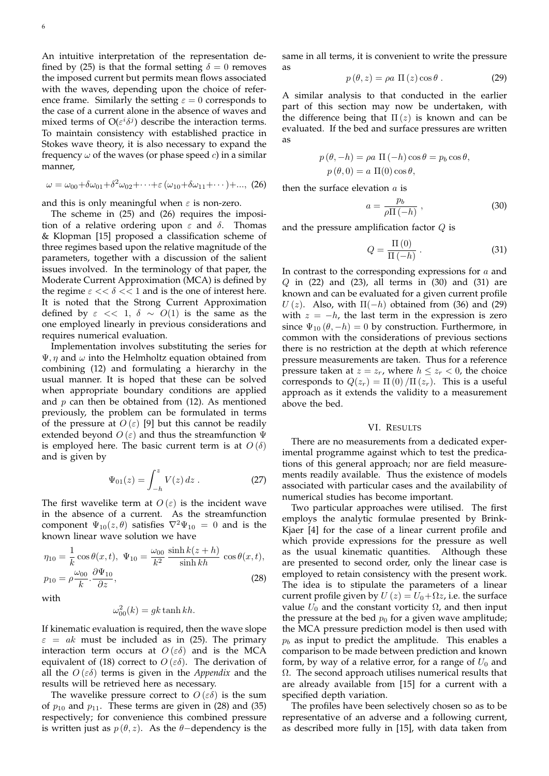An intuitive interpretation of the representation defined by (25) is that the formal setting  $\delta = 0$  removes the imposed current but permits mean flows associated with the waves, depending upon the choice of reference frame. Similarly the setting  $\varepsilon = 0$  corresponds to the case of a current alone in the absence of waves and mixed terms of  $O(\varepsilon^i \delta^j)$  describe the interaction terms. To maintain consistency with established practice in Stokes wave theory, it is also necessary to expand the frequency  $\omega$  of the waves (or phase speed c) in a similar manner,

$$
\omega = \omega_{00} + \delta \omega_{01} + \delta^2 \omega_{02} + \cdots + \varepsilon (\omega_{10} + \delta \omega_{11} + \cdots) + \dots, (26)
$$

and this is only meaningful when  $\varepsilon$  is non-zero.

The scheme in (25) and (26) requires the imposition of a relative ordering upon  $\varepsilon$  and  $\delta$ . Thomas & Klopman [15] proposed a classification scheme of three regimes based upon the relative magnitude of the parameters, together with a discussion of the salient issues involved. In the terminology of that paper, the Moderate Current Approximation (MCA) is defined by the regime  $\varepsilon \ll \delta \ll 1$  and is the one of interest here. It is noted that the Strong Current Approximation defined by  $\varepsilon \ll 1$ ,  $\delta \sim O(1)$  is the same as the one employed linearly in previous considerations and requires numerical evaluation.

Implementation involves substituting the series for  $\Psi$ ,  $\eta$  and  $\omega$  into the Helmholtz equation obtained from combining (12) and formulating a hierarchy in the usual manner. It is hoped that these can be solved when appropriate boundary conditions are applied and  $p$  can then be obtained from (12). As mentioned previously, the problem can be formulated in terms of the pressure at  $O(\varepsilon)$  [9] but this cannot be readily extended beyond  $O(\varepsilon)$  and thus the streamfunction  $\Psi$ is employed here. The basic current term is at  $O(\delta)$ and is given by

$$
\Psi_{01}(z) = \int_{-h}^{z} V(z) dz . \qquad (27)
$$

The first wavelike term at  $O(\varepsilon)$  is the incident wave in the absence of a current. As the streamfunction component  $\Psi_{10}(z,\theta)$  satisfies  $\nabla^2 \Psi_{10} = 0$  and is the known linear wave solution we have

$$
\eta_{10} = \frac{1}{k} \cos \theta(x, t), \quad \Psi_{10} = \frac{\omega_{00}}{k^2} \frac{\sinh k(z+h)}{\sinh kh} \cos \theta(x, t),
$$
\n
$$
p_{10} = \rho \frac{\omega_{00}}{k} \cdot \frac{\partial \Psi_{10}}{\partial z},
$$
\n(28)

with

$$
\omega_{00}^2(k) = gk \tanh kh.
$$

If kinematic evaluation is required, then the wave slope  $\varepsilon$  = ak must be included as in (25). The primary interaction term occurs at  $O(\varepsilon\delta)$  and is the MCA equivalent of (18) correct to  $O(\varepsilon\delta)$ . The derivation of all the  $O(\varepsilon\delta)$  terms is given in the *Appendix* and the results will be retrieved here as necessary.

The wavelike pressure correct to  $O(\varepsilon\delta)$  is the sum of  $p_{10}$  and  $p_{11}$ . These terms are given in (28) and (35) respectively; for convenience this combined pressure is written just as  $p(\theta, z)$ . As the  $\theta$ -dependency is the same in all terms, it is convenient to write the pressure as

$$
p(\theta, z) = \rho a \Pi(z) \cos \theta.
$$
 (29)

A similar analysis to that conducted in the earlier part of this section may now be undertaken, with the difference being that  $\Pi(z)$  is known and can be evaluated. If the bed and surface pressures are written as

$$
p(\theta, -h) = \rho a \Pi(-h) \cos \theta = p_b \cos \theta,
$$
  

$$
p(\theta, 0) = a \Pi(0) \cos \theta,
$$

then the surface elevation  $a$  is

$$
a = \frac{p_b}{\rho \Pi \left( -h \right)} \,, \tag{30}
$$

and the pressure amplification factor  $Q$  is

$$
Q = \frac{\Pi\left(0\right)}{\Pi\left(-h\right)}\,. \tag{31}
$$

In contrast to the corresponding expressions for  $a$  and  $Q$  in (22) and (23), all terms in (30) and (31) are known and can be evaluated for a given current profile  $U(z)$ . Also, with  $\Pi(-h)$  obtained from (36) and (29) with  $z = -h$ , the last term in the expression is zero since  $\Psi_{10} (\theta, -h) = 0$  by construction. Furthermore, in common with the considerations of previous sections there is no restriction at the depth at which reference pressure measurements are taken. Thus for a reference pressure taken at  $z = z_r$ , where  $h \leq z_r < 0$ , the choice corresponds to  $Q(z_r) = \Pi(0)/\Pi(z_r)$ . This is a useful approach as it extends the validity to a measurement above the bed.

#### VI. RESULTS

There are no measurements from a dedicated experimental programme against which to test the predications of this general approach; nor are field measurements readily available. Thus the existence of models associated with particular cases and the availability of numerical studies has become important.

Two particular approaches were utilised. The first employs the analytic formulae presented by Brink-Kjaer [4] for the case of a linear current profile and which provide expressions for the pressure as well as the usual kinematic quantities. Although these are presented to second order, only the linear case is employed to retain consistency with the present work. The idea is to stipulate the parameters of a linear current profile given by  $U(z) = U_0 + \Omega z$ , i.e. the surface value  $U_0$  and the constant vorticity  $\Omega$ , and then input the pressure at the bed  $p_0$  for a given wave amplitude; the MCA pressure prediction model is then used with  $p<sub>b</sub>$  as input to predict the amplitude. This enables a comparison to be made between prediction and known form, by way of a relative error, for a range of  $U_0$  and Ω. The second approach utilises numerical results that are already available from [15] for a current with a specified depth variation.

The profiles have been selectively chosen so as to be representative of an adverse and a following current, as described more fully in [15], with data taken from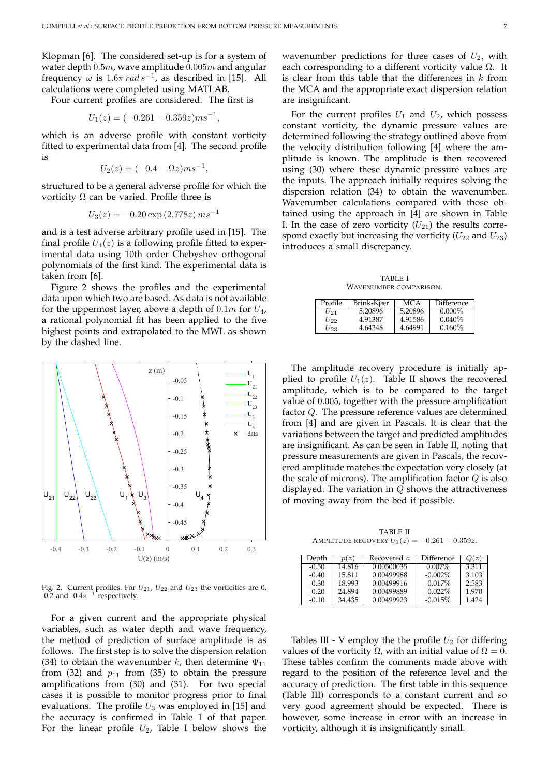Klopman [6]. The considered set-up is for a system of water depth  $0.5m$ , wave amplitude  $0.005m$  and angular frequency  $\omega$  is 1.6 $\pi$  rad s<sup>-1</sup>, as described in [15]. All calculations were completed using MATLAB.

Four current profiles are considered. The first is

$$
U_1(z) = (-0.261 - 0.359z)ms^{-1},
$$

which is an adverse profile with constant vorticity fitted to experimental data from [4]. The second profile is

$$
U_2(z) = (-0.4 - \Omega z) m s^{-1},
$$

structured to be a general adverse profile for which the vorticity  $\Omega$  can be varied. Profile three is

$$
U_3(z) = -0.20 \exp(2.778z) \, ms^{-1}
$$

and is a test adverse arbitrary profile used in [15]. The final profile  $U_4(z)$  is a following profile fitted to experimental data using 10th order Chebyshev orthogonal polynomials of the first kind. The experimental data is taken from [6].

Figure 2 shows the profiles and the experimental data upon which two are based. As data is not available for the uppermost layer, above a depth of  $0.1m$  for  $U_4$ , a rational polynomial fit has been applied to the five highest points and extrapolated to the MWL as shown by the dashed line.



Fig. 2. Current profiles. For  $U_{21}$ ,  $U_{22}$  and  $U_{23}$  the vorticities are 0, -0.2 and -0.4s<sup>-1</sup> respectively.

For a given current and the appropriate physical variables, such as water depth and wave frequency, the method of prediction of surface amplitude is as follows. The first step is to solve the dispersion relation (34) to obtain the wavenumber k, then determine  $\Psi_{11}$ from (32) and  $p_{11}$  from (35) to obtain the pressure amplifications from (30) and (31). For two special cases it is possible to monitor progress prior to final evaluations. The profile  $U_3$  was employed in [15] and the accuracy is confirmed in Table 1 of that paper. For the linear profile  $U_2$ , Table I below shows the

wavenumber predictions for three cases of  $U_2$ , with each corresponding to a different vorticity value  $\Omega$ . It is clear from this table that the differences in  $k$  from the MCA and the appropriate exact dispersion relation are insignificant.

For the current profiles  $U_1$  and  $U_2$ , which possess constant vorticity, the dynamic pressure values are determined following the strategy outlined above from the velocity distribution following [4] where the amplitude is known. The amplitude is then recovered using (30) where these dynamic pressure values are the inputs. The approach initially requires solving the dispersion relation (34) to obtain the wavenumber. Wavenumber calculations compared with those obtained using the approach in [4] are shown in Table I. In the case of zero vorticity  $(U_{21})$  the results correspond exactly but increasing the vorticity  $(U_{22}$  and  $U_{23})$ introduces a small discrepancy.

TABLE I WAVENUMBER COMPARISON.

| Profile  | Brink-Kjær | MC A    | Difference |
|----------|------------|---------|------------|
| U91      | 5.20896    | 5.20896 | $0.000\%$  |
| $U_{22}$ | 4.91387    | 4.91586 | $0.040\%$  |
| $U_{23}$ | 4.64248    | 4.64991 | $0.160\%$  |

The amplitude recovery procedure is initially applied to profile  $U_1(z)$ . Table II shows the recovered amplitude, which is to be compared to the target value of 0.005, together with the pressure amplification factor Q. The pressure reference values are determined from [4] and are given in Pascals. It is clear that the variations between the target and predicted amplitudes are insignificant. As can be seen in Table II, noting that pressure measurements are given in Pascals, the recovered amplitude matches the expectation very closely (at the scale of microns). The amplification factor  $Q$  is also displayed. The variation in  $Q$  shows the attractiveness of moving away from the bed if possible.

TABLE II AMPLITUDE RECOVERY  $U_1(z) = -0.261 - 0.359z$ .

| Depth   | p(z)   | Recovered a | Difference | Q(z)  |
|---------|--------|-------------|------------|-------|
| $-0.50$ | 14.816 | 0.00500035  | $0.007\%$  | 3.311 |
| $-0.40$ | 15.811 | 0.00499988  | $-0.002\%$ | 3.103 |
| $-0.30$ | 18.993 | 0.00499916  | $-0.017\%$ | 2.583 |
| $-0.20$ | 24.894 | 0.00499889  | $-0.022\%$ | 1.970 |
| $-0.10$ | 34.435 | 0.00499923  | $-0.015%$  | 1.424 |

Tables III - V employ the the profile  $U_2$  for differing values of the vorticity  $\Omega$ , with an initial value of  $\Omega = 0$ . These tables confirm the comments made above with regard to the position of the reference level and the accuracy of prediction. The first table in this sequence (Table III) corresponds to a constant current and so very good agreement should be expected. There is however, some increase in error with an increase in vorticity, although it is insignificantly small.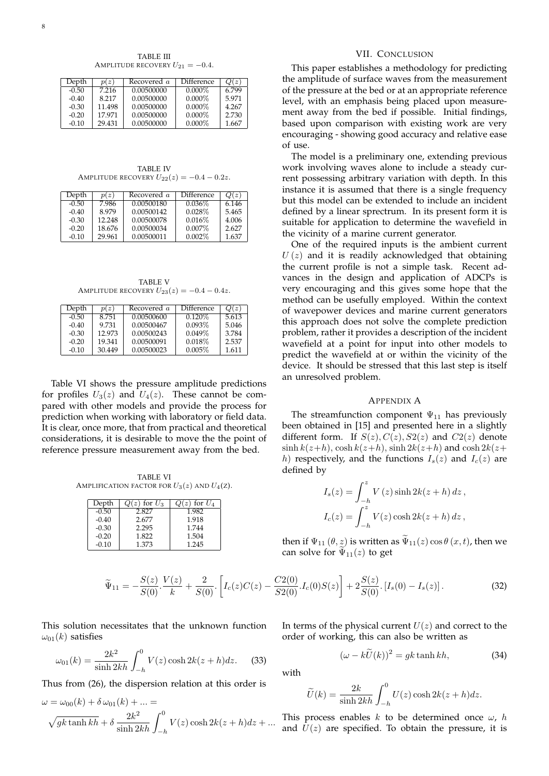TABLE III AMPLITUDE RECOVERY  $U_{21} = -0.4$ .

| Depth   | p(z)   | Recovered a | Difference | Q(z)  |
|---------|--------|-------------|------------|-------|
| $-0.50$ | 7.216  | 0.00500000  | $0.000\%$  | 6.799 |
| $-0.40$ | 8.217  | 0.00500000  | $0.000\%$  | 5.971 |
| $-0.30$ | 11.498 | 0.00500000  | $0.000\%$  | 4.267 |
| $-0.20$ | 17.971 | 0.00500000  | $0.000\%$  | 2.730 |
| $-0.10$ | 29.431 | 0.00500000  | $0.000\%$  | 1.667 |

TABLE IV AMPLITUDE RECOVERY  $U_{22}(z) = -0.4 - 0.2z$ .

| p(z)   | Recovered a | Difference | Q(z)  |
|--------|-------------|------------|-------|
| 7.986  | 0.00500180  | $0.036\%$  | 6.146 |
| 8.979  | 0.00500142  | $0.028\%$  | 5.465 |
| 12.248 | 0.00500078  | 0.016%     | 4.006 |
| 18.676 | 0.00500034  | $0.007\%$  | 2.627 |
| 29.961 | 0.00500011  | $0.002\%$  | 1.637 |
|        |             |            |       |

TABLE V AMPLITUDE RECOVERY  $U_{23}(z) = -0.4 - 0.4z$ .

| Depth   | p(z)   | Recovered a | Difference | Q(z)  |
|---------|--------|-------------|------------|-------|
| $-0.50$ | 8.751  | 0.00500600  | $0.120\%$  | 5.613 |
| $-0.40$ | 9.731  | 0.00500467  | 0.093%     | 5.046 |
| $-0.30$ | 12.973 | 0.00500243  | 0.049%     | 3.784 |
| $-0.20$ | 19.341 | 0.00500091  | 0.018%     | 2.537 |
| $-0.10$ | 30.449 | 0.00500023  | $0.005\%$  | 1.611 |

Table VI shows the pressure amplitude predictions for profiles  $U_3(z)$  and  $U_4(z)$ . These cannot be compared with other models and provide the process for prediction when working with laboratory or field data. It is clear, once more, that from practical and theoretical considerations, it is desirable to move the the point of reference pressure measurement away from the bed.

TABLE VI AMPLIFICATION FACTOR FOR  $U_3(z)$  and  $U_4(z)$ .

| Depth   | $Q(z)$ for $U_3$ | $Q(z)$ for $U_4$ |
|---------|------------------|------------------|
| $-0.50$ | 2.827            | 1.982            |
| $-0.40$ | 2.677            | 1.918            |
| $-0.30$ | 2.295            | 1.744            |
| $-0.20$ | 1.822            | 1.504            |
| $-0.10$ | 1.373            | 1.245            |

# VII. CONCLUSION

This paper establishes a methodology for predicting the amplitude of surface waves from the measurement of the pressure at the bed or at an appropriate reference level, with an emphasis being placed upon measurement away from the bed if possible. Initial findings, based upon comparison with existing work are very encouraging - showing good accuracy and relative ease of use.

The model is a preliminary one, extending previous work involving waves alone to include a steady current possessing arbitrary variation with depth. In this instance it is assumed that there is a single frequency but this model can be extended to include an incident defined by a linear sprectrum. In its present form it is suitable for application to determine the wavefield in the vicinity of a marine current generator.

One of the required inputs is the ambient current  $U(z)$  and it is readily acknowledged that obtaining the current profile is not a simple task. Recent advances in the design and application of ADCPs is very encouraging and this gives some hope that the method can be usefully employed. Within the context of wavepower devices and marine current generators this approach does not solve the complete prediction problem, rather it provides a description of the incident wavefield at a point for input into other models to predict the wavefield at or within the vicinity of the device. It should be stressed that this last step is itself an unresolved problem.

### APPENDIX A

The streamfunction component  $\Psi_{11}$  has previously been obtained in [15] and presented here in a slightly different form. If  $S(z)$ ,  $C(z)$ ,  $S2(z)$  and  $C2(z)$  denote  $\sinh k(z+h)$ ,  $\cosh k(z+h)$ ,  $\sinh 2k(z+h)$  and  $\cosh 2k(z+h)$ h) respectively, and the functions  $I_s(z)$  and  $I_c(z)$  are defined by

$$
I_s(z) = \int_{-h}^{z} V(z) \sinh 2k(z+h) dz,
$$
  

$$
I_c(z) = \int_{-h}^{z} V(z) \cosh 2k(z+h) dz,
$$

then if  $\Psi_{11}(\theta, z)$  is written as  $\widetilde{\Psi}_{11}(z) \cos \theta (x, t)$ , then we can solve for  $\tilde{\Psi}_{11}(z)$  to get

$$
\widetilde{\Psi}_{11} = -\frac{S(z)}{S(0)} \cdot \frac{V(z)}{k} + \frac{2}{S(0)} \cdot \left[ I_c(z)C(z) - \frac{C2(0)}{S2(0)} I_c(0)S(z) \right] + 2\frac{S(z)}{S(0)} \cdot \left[ I_s(0) - I_s(z) \right]. \tag{32}
$$

This solution necessitates that the unknown function  $\omega_{01}(k)$  satisfies

$$
\omega_{01}(k) = \frac{2k^2}{\sinh 2kh} \int_{-h}^{0} V(z) \cosh 2k(z+h) dz.
$$
 (33)

Thus from (26), the dispersion relation at this order is

$$
\omega = \omega_{00}(k) + \delta \omega_{01}(k) + \dots =
$$
  

$$
\sqrt{gk \tanh kh} + \delta \frac{2k^2}{\sinh 2kh} \int_{-h}^{0} V(z) \cosh 2k(z+h) dz + \dots
$$

In terms of the physical current  $U(z)$  and correct to the order of working, this can also be written as

$$
(\omega - k\tilde{U}(k))^2 = gk \tanh kh,\tag{34}
$$

with

$$
\widetilde{U}(k) = \frac{2k}{\sinh 2kh} \int_{-h}^{0} U(z) \cosh 2k(z+h) dz.
$$

This process enables k to be determined once  $\omega$ , h and  $U(z)$  are specified. To obtain the pressure, it is